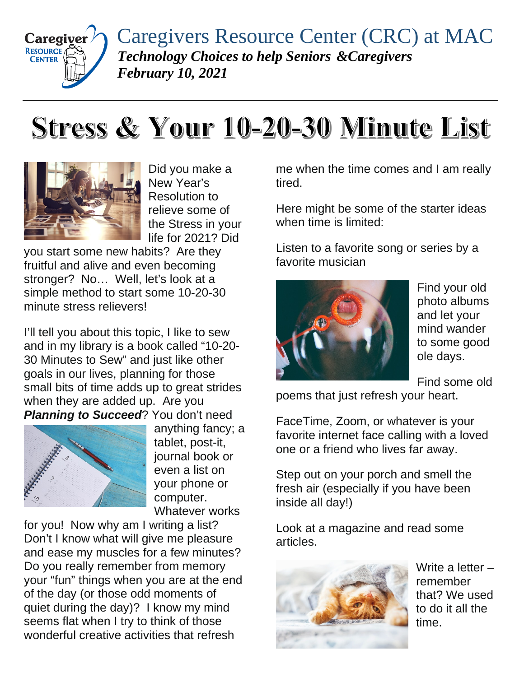

Caregivers Resource Center (CRC) at MAC *Technology Choices to help Seniors &Caregivers February 10, 2021*

## Stress & Your 10-20-30 Minute List



Did you make a New Year's Resolution to relieve some of the Stress in your life for 2021? Did

you start some new habits? Are they fruitful and alive and even becoming stronger? No… Well, let's look at a simple method to start some 10-20-30 minute stress relievers!

I'll tell you about this topic, I like to sew and in my library is a book called "10-20- 30 Minutes to Sew" and just like other goals in our lives, planning for those small bits of time adds up to great strides when they are added up. Are you **Planning to Succeed?** You don't need



anything fancy; a tablet, post-it, journal book or even a list on your phone or computer. Whatever works

for you! Now why am I writing a list? Don't I know what will give me pleasure and ease my muscles for a few minutes? Do you really remember from memory your "fun" things when you are at the end of the day (or those odd moments of quiet during the day)? I know my mind seems flat when I try to think of those wonderful creative activities that refresh

me when the time comes and I am really tired.

Here might be some of the starter ideas when time is limited:

Listen to a favorite song or series by a favorite musician



Find your old photo albums and let your mind wander to some good ole days.

Find some old

poems that just refresh your heart.

FaceTime, Zoom, or whatever is your favorite internet face calling with a loved one or a friend who lives far away.

Step out on your porch and smell the fresh air (especially if you have been inside all day!)

Look at a magazine and read some articles.



Write a letter – remember that? We used to do it all the time.